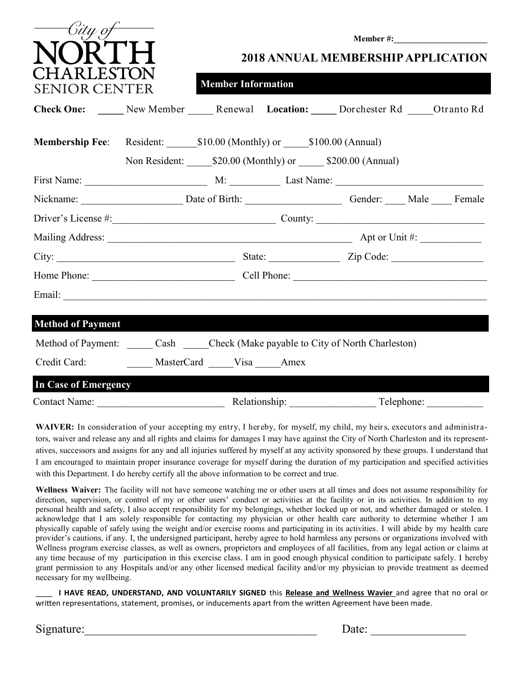| City oj                                                                                  |                      | <b>Member #:</b><br><b>2018 ANNUAL MEMBERSHIP APPLICATION</b> |  |                                                      |  |  |
|------------------------------------------------------------------------------------------|----------------------|---------------------------------------------------------------|--|------------------------------------------------------|--|--|
| A R LESTON<br><b>SENIOR CENTER</b>                                                       |                      | <b>Member Information</b>                                     |  |                                                      |  |  |
| Check One: _____ New Member _____ Renewal Location: _____ Dorchester Rd _____ Otranto Rd |                      |                                                               |  |                                                      |  |  |
| <b>Membership Fee:</b> Resident: \$10.00 (Monthly) or \$100.00 (Annual)                  |                      |                                                               |  | Non Resident: \$20.00 (Monthly) or \$200.00 (Annual) |  |  |
|                                                                                          |                      |                                                               |  |                                                      |  |  |
| Nickname: Date of Birth: Gender: Male Female                                             |                      |                                                               |  |                                                      |  |  |
|                                                                                          |                      |                                                               |  |                                                      |  |  |
|                                                                                          |                      |                                                               |  |                                                      |  |  |
|                                                                                          |                      |                                                               |  |                                                      |  |  |
|                                                                                          |                      |                                                               |  |                                                      |  |  |
|                                                                                          |                      |                                                               |  |                                                      |  |  |
| <b>Method of Payment</b>                                                                 |                      |                                                               |  |                                                      |  |  |
| Method of Payment: Cash Check (Make payable to City of North Charleston)                 |                      |                                                               |  |                                                      |  |  |
| Credit Card:                                                                             | MasterCard Visa Amex |                                                               |  |                                                      |  |  |
| <b>In Case of Emergency</b>                                                              |                      |                                                               |  |                                                      |  |  |
| <b>Contact Name:</b>                                                                     |                      | Relationship:                                                 |  | Telephone:                                           |  |  |

**WAIVER:** In consideration of your accepting my entry, I hereby, for myself, my child, my heir s, executors and administrators, waiver and release any and all rights and claims for damages I may have against the City of North Charleston and its representatives, successors and assigns for any and all injuries suffered by myself at any activity sponsored by these groups. I understand that I am encouraged to maintain proper insurance coverage for myself during the duration of my participation and specified activities with this Department. I do hereby certify all the above information to be correct and true.

**Wellness Waiver:** The facility will not have someone watching me or other users at all times and does not assume responsibility for direction, supervision, or control of my or other users' conduct or activities at the facility or in its activities. In addition to my personal health and safety, I also accept responsibility for my belongings, whether locked up or not, and whether damaged or stolen. I acknowledge that I am solely responsible for contacting my physician or other health care authority to determine whether I am physically capable of safely using the weight and/or exercise rooms and participating in its activities. I will abide by my health care provider's cautions, if any. I, the undersigned participant, hereby agree to hold harmless any persons or organizations involved with Wellness program exercise classes, as well as owners, proprietors and employees of all facilities, from any legal action or claims at any time because of my participation in this exercise class. I am in good enough physical condition to participate safely. I hereby grant permission to any Hospitals and/or any other licensed medical facility and/or my physician to provide treatment as deemed necessary for my wellbeing.

\_\_\_\_ **I HAVE READ, UNDERSTAND, AND VOLUNTARILY SIGNED** this **Release and Wellness Wavier** and agree that no oral or written representations, statement, promises, or inducements apart from the written Agreement have been made.

 $Date:$ 

| Signature: |  |
|------------|--|
|            |  |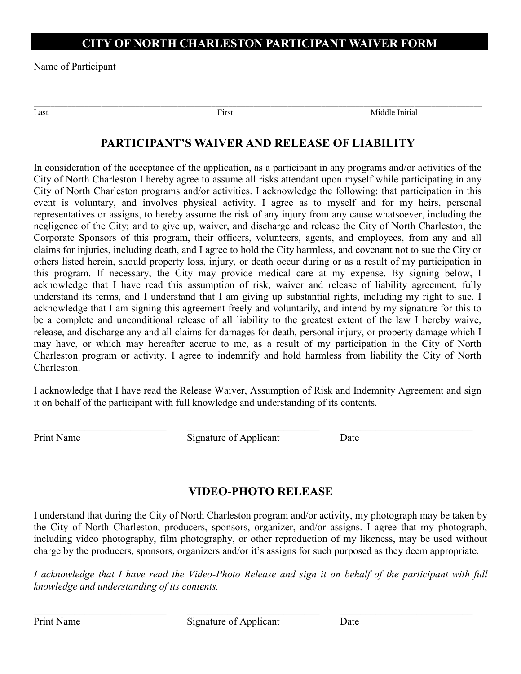## **CITY OF NORTH CHARLESTON PARTICIPANT WAIVER FORM**

Name of Participant

Last **Example 2018** Text **First First Example 2018** Middle Initial

# **PARTICIPANT'S WAIVER AND RELEASE OF LIABILITY**

\_\_\_\_\_\_\_\_\_\_\_\_\_\_\_\_\_\_\_\_\_\_\_\_\_\_\_\_\_\_\_\_\_\_\_\_\_\_\_\_\_\_\_\_\_\_\_\_\_\_\_\_\_\_\_\_\_\_\_\_\_\_\_\_\_\_\_\_\_\_\_\_\_\_\_\_\_\_\_\_\_\_\_\_\_\_\_\_\_\_\_\_\_\_\_\_\_\_\_\_\_\_\_\_\_\_

In consideration of the acceptance of the application, as a participant in any programs and/or activities of the City of North Charleston I hereby agree to assume all risks attendant upon myself while participating in any City of North Charleston programs and/or activities. I acknowledge the following: that participation in this event is voluntary, and involves physical activity. I agree as to myself and for my heirs, personal representatives or assigns, to hereby assume the risk of any injury from any cause whatsoever, including the negligence of the City; and to give up, waiver, and discharge and release the City of North Charleston, the Corporate Sponsors of this program, their officers, volunteers, agents, and employees, from any and all claims for injuries, including death, and I agree to hold the City harmless, and covenant not to sue the City or others listed herein, should property loss, injury, or death occur during or as a result of my participation in this program. If necessary, the City may provide medical care at my expense. By signing below, I acknowledge that I have read this assumption of risk, waiver and release of liability agreement, fully understand its terms, and I understand that I am giving up substantial rights, including my right to sue. I acknowledge that I am signing this agreement freely and voluntarily, and intend by my signature for this to be a complete and unconditional release of all liability to the greatest extent of the law I hereby waive, release, and discharge any and all claims for damages for death, personal injury, or property damage which I may have, or which may hereafter accrue to me, as a result of my participation in the City of North Charleston program or activity. I agree to indemnify and hold harmless from liability the City of North Charleston.

I acknowledge that I have read the Release Waiver, Assumption of Risk and Indemnity Agreement and sign it on behalf of the participant with full knowledge and understanding of its contents.

 $\_$  , and the contribution of the contribution of  $\mathcal{L}_\mathcal{A}$  , and the contribution of  $\mathcal{L}_\mathcal{A}$ Print Name Signature of Applicant Date

## **VIDEO-PHOTO RELEASE**

I understand that during the City of North Charleston program and/or activity, my photograph may be taken by the City of North Charleston, producers, sponsors, organizer, and/or assigns. I agree that my photograph, including video photography, film photography, or other reproduction of my likeness, may be used without charge by the producers, sponsors, organizers and/or it's assigns for such purposed as they deem appropriate.

*I acknowledge that I have read the Video-Photo Release and sign it on behalf of the participant with full knowledge and understanding of its contents.* 

 $\_$  , and the contribution of the contribution of  $\mathcal{L}_\mathcal{A}$  , and the contribution of  $\mathcal{L}_\mathcal{A}$